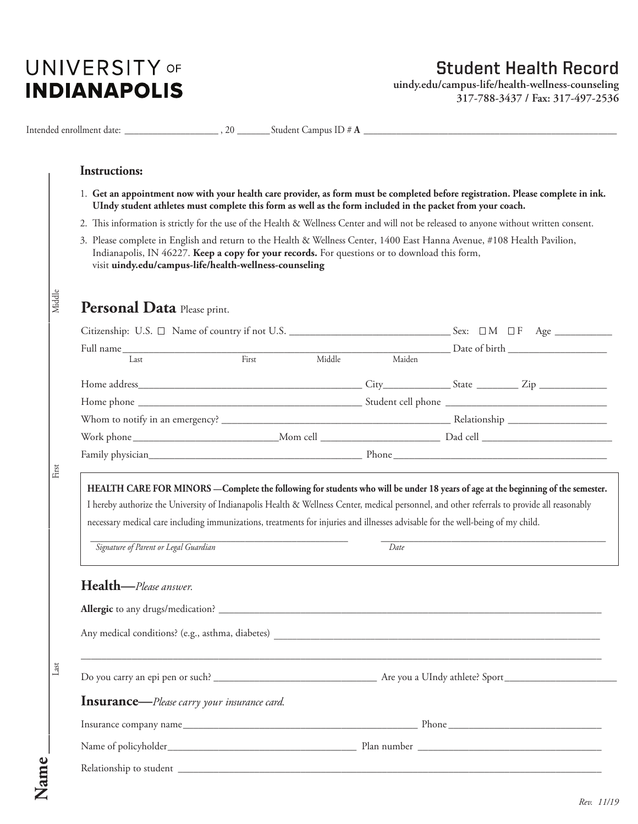## **UNIVERSITY OF INDIANAPOLIS**

## **Student Health Record**

**uindy.edu/campus-life/health-wellness-counseling 317-788-3437 / Fax: 317-497-2536**

|        | <b>Instructions:</b>                                                                                                                                                                                                                                                                                                                                                                                                                                                 |  |  |        |  |               |  |  |  |
|--------|----------------------------------------------------------------------------------------------------------------------------------------------------------------------------------------------------------------------------------------------------------------------------------------------------------------------------------------------------------------------------------------------------------------------------------------------------------------------|--|--|--------|--|---------------|--|--|--|
|        | 1. Get an appointment now with your health care provider, as form must be completed before registration. Please complete in ink.<br>UIndy student athletes must complete this form as well as the form included in the packet from your coach.                                                                                                                                                                                                                       |  |  |        |  |               |  |  |  |
|        | 2. This information is strictly for the use of the Health & Wellness Center and will not be released to anyone without written consent.                                                                                                                                                                                                                                                                                                                              |  |  |        |  |               |  |  |  |
|        | 3. Please complete in English and return to the Health & Wellness Center, 1400 East Hanna Avenue, #108 Health Pavilion,<br>Indianapolis, IN 46227. Keep a copy for your records. For questions or to download this form,<br>visit uindy.edu/campus-life/health-wellness-counseling                                                                                                                                                                                   |  |  |        |  |               |  |  |  |
| Middle | Personal Data Please print.                                                                                                                                                                                                                                                                                                                                                                                                                                          |  |  |        |  |               |  |  |  |
|        |                                                                                                                                                                                                                                                                                                                                                                                                                                                                      |  |  |        |  |               |  |  |  |
|        | Full name Last First Middle                                                                                                                                                                                                                                                                                                                                                                                                                                          |  |  |        |  | Date of birth |  |  |  |
|        |                                                                                                                                                                                                                                                                                                                                                                                                                                                                      |  |  | Maiden |  |               |  |  |  |
|        |                                                                                                                                                                                                                                                                                                                                                                                                                                                                      |  |  |        |  |               |  |  |  |
|        |                                                                                                                                                                                                                                                                                                                                                                                                                                                                      |  |  |        |  |               |  |  |  |
|        |                                                                                                                                                                                                                                                                                                                                                                                                                                                                      |  |  |        |  |               |  |  |  |
|        |                                                                                                                                                                                                                                                                                                                                                                                                                                                                      |  |  |        |  |               |  |  |  |
| First  |                                                                                                                                                                                                                                                                                                                                                                                                                                                                      |  |  |        |  |               |  |  |  |
|        | HEALTH CARE FOR MINORS - Complete the following for students who will be under 18 years of age at the beginning of the semester.<br>I hereby authorize the University of Indianapolis Health & Wellness Center, medical personnel, and other referrals to provide all reasonably<br>necessary medical care including immunizations, treatments for injuries and illnesses advisable for the well-being of my child.<br>Signature of Parent or Legal Guardian<br>Date |  |  |        |  |               |  |  |  |
|        |                                                                                                                                                                                                                                                                                                                                                                                                                                                                      |  |  |        |  |               |  |  |  |
|        | Health-Please answer.                                                                                                                                                                                                                                                                                                                                                                                                                                                |  |  |        |  |               |  |  |  |
|        |                                                                                                                                                                                                                                                                                                                                                                                                                                                                      |  |  |        |  |               |  |  |  |
|        |                                                                                                                                                                                                                                                                                                                                                                                                                                                                      |  |  |        |  |               |  |  |  |
| Last   |                                                                                                                                                                                                                                                                                                                                                                                                                                                                      |  |  |        |  |               |  |  |  |
|        | <b>Insurance</b> —Please carry your insurance card.                                                                                                                                                                                                                                                                                                                                                                                                                  |  |  |        |  |               |  |  |  |
|        |                                                                                                                                                                                                                                                                                                                                                                                                                                                                      |  |  |        |  |               |  |  |  |
|        |                                                                                                                                                                                                                                                                                                                                                                                                                                                                      |  |  |        |  |               |  |  |  |
|        |                                                                                                                                                                                                                                                                                                                                                                                                                                                                      |  |  |        |  |               |  |  |  |

*Rev. 11/19*